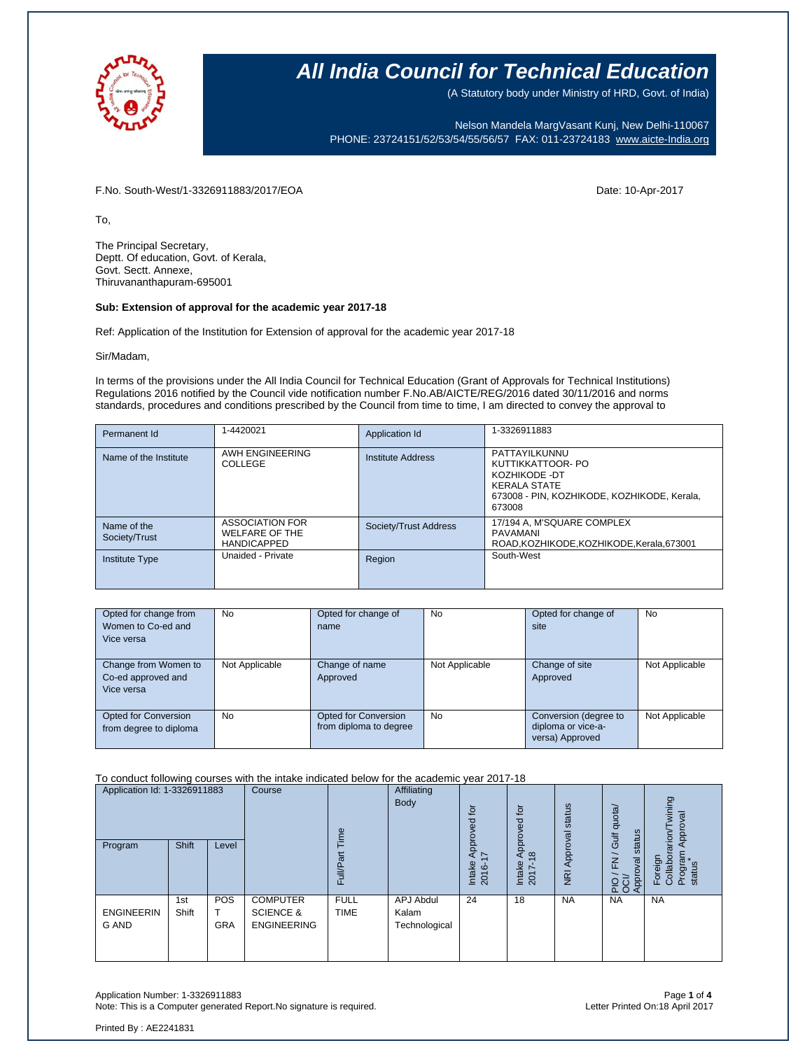

(A Statutory body under Ministry of HRD, Govt. of India)

Nelson Mandela MargVasant Kunj, New Delhi-110067 PHONE: 23724151/52/53/54/55/56/57 FAX: 011-23724183 [www.aicte-India.org](http://www.aicte-india.org/)

F.No. South-West/1-3326911883/2017/EOA Date: 10-Apr-2017

To,

The Principal Secretary, Deptt. Of education, Govt. of Kerala, Govt. Sectt. Annexe, Thiruvananthapuram-695001

#### **Sub: Extension of approval for the academic year 2017-18**

Ref: Application of the Institution for Extension of approval for the academic year 2017-18

Sir/Madam,

In terms of the provisions under the All India Council for Technical Education (Grant of Approvals for Technical Institutions) Regulations 2016 notified by the Council vide notification number F.No.AB/AICTE/REG/2016 dated 30/11/2016 and norms standards, procedures and conditions prescribed by the Council from time to time, I am directed to convey the approval to

| Permanent Id                 | 1-4420021                                                             | Application Id        | 1-3326911883                                                                                                                        |
|------------------------------|-----------------------------------------------------------------------|-----------------------|-------------------------------------------------------------------------------------------------------------------------------------|
| Name of the Institute        | AWH ENGINEERING<br>COLLEGE                                            | Institute Address     | PATTAYILKUNNU<br>KUTTIKKATTOOR- PO<br>KOZHIKODE -DT<br><b>KERALA STATE</b><br>673008 - PIN, KOZHIKODE, KOZHIKODE, Kerala,<br>673008 |
| Name of the<br>Society/Trust | <b>ASSOCIATION FOR</b><br><b>WELFARE OF THE</b><br><b>HANDICAPPED</b> | Society/Trust Address | 17/194 A, M'SQUARE COMPLEX<br>PAVAMANI<br>ROAD, KOZHIKODE, KOZHIKODE, Kerala, 673001                                                |
| <b>Institute Type</b>        | Unaided - Private                                                     | Region                | South-West                                                                                                                          |

| Opted for change from<br>Women to Co-ed and<br>Vice versa | <b>No</b>      | Opted for change of<br>name                           | No             | Opted for change of<br>site                                    | <b>No</b>      |
|-----------------------------------------------------------|----------------|-------------------------------------------------------|----------------|----------------------------------------------------------------|----------------|
| Change from Women to<br>Co-ed approved and<br>Vice versa  | Not Applicable | Change of name<br>Approved                            | Not Applicable | Change of site<br>Approved                                     | Not Applicable |
| Opted for Conversion<br>from degree to diploma            | <b>No</b>      | <b>Opted for Conversion</b><br>from diploma to degree | <b>No</b>      | Conversion (degree to<br>diploma or vice-a-<br>versa) Approved | Not Applicable |

#### To conduct following courses with the intake indicated below for the academic year 2017-18

| Application Id: 1-3326911883<br>Shift<br>Level |              | Course                   | euil                                                          |                            | $\overline{c}$<br>8                 | .p<br>ರ<br>ō                  | status                         | quota/<br>tatus<br><b>Juli</b> | wining<br>pproval<br>rarion/          |                                          |
|------------------------------------------------|--------------|--------------------------|---------------------------------------------------------------|----------------------------|-------------------------------------|-------------------------------|--------------------------------|--------------------------------|---------------------------------------|------------------------------------------|
| Program                                        |              |                          |                                                               | Full/Pa                    |                                     | Appr<br>7<br>Intake<br>2016-1 | $\infty$<br>Intake<br>ŕ<br>201 | Approval<br>$\overline{g}$     | <b>in</b><br>$\geq$<br>Approval<br>운영 | Collabor<br>Program<br>Foreign<br>status |
| <b>ENGINEERIN</b><br><b>G AND</b>              | 1st<br>Shift | <b>POS</b><br><b>GRA</b> | <b>COMPUTER</b><br><b>SCIENCE &amp;</b><br><b>ENGINEERING</b> | <b>FULL</b><br><b>TIME</b> | APJ Abdul<br>Kalam<br>Technological | 24                            | 18                             | <b>NA</b>                      | <b>NA</b>                             | <b>NA</b>                                |

Application Number: 1-3326911883 Page **1** of **4** Note: This is a Computer generated Report.No signature is required.

Printed By : AE2241831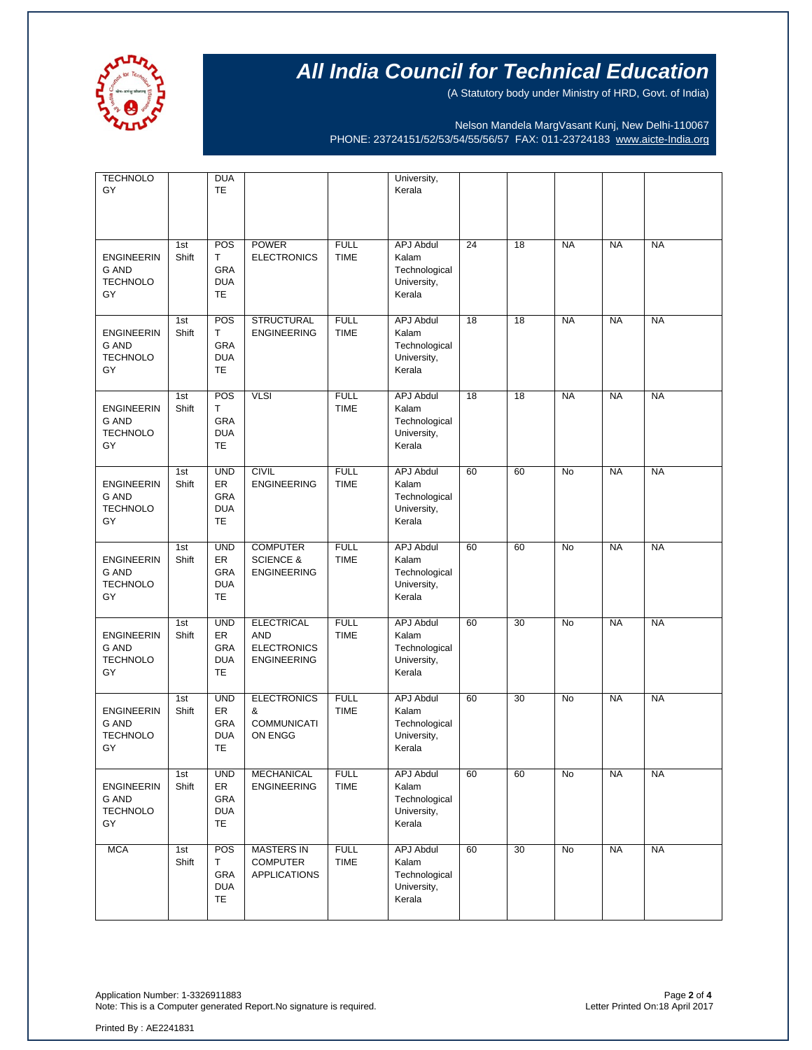

(A Statutory body under Ministry of HRD, Govt. of India)

Nelson Mandela MargVasant Kunj, New Delhi-110067 PHONE: 23724151/52/53/54/55/56/57 FAX: 011-23724183 [www.aicte-India.org](http://www.aicte-india.org/)

| <b>TECHNOLO</b><br>GY                                      |              | <b>DUA</b><br>TE                                   |                                                                             |                            | University,<br>Kerala                                               |    |    |           |           |           |
|------------------------------------------------------------|--------------|----------------------------------------------------|-----------------------------------------------------------------------------|----------------------------|---------------------------------------------------------------------|----|----|-----------|-----------|-----------|
| <b>ENGINEERIN</b><br>G AND<br><b>TECHNOLO</b><br>GY        | 1st<br>Shift | POS<br>Τ<br>GRA<br><b>DUA</b><br>TE                | <b>POWER</b><br><b>ELECTRONICS</b>                                          | <b>FULL</b><br><b>TIME</b> | <b>APJ Abdul</b><br>Kalam<br>Technological<br>University,<br>Kerala | 24 | 18 | <b>NA</b> | <b>NA</b> | <b>NA</b> |
| <b>ENGINEERIN</b><br><b>G AND</b><br><b>TECHNOLO</b><br>GY | 1st<br>Shift | POS<br>T<br>GRA<br><b>DUA</b><br><b>TE</b>         | <b>STRUCTURAL</b><br><b>ENGINEERING</b>                                     | <b>FULL</b><br><b>TIME</b> | <b>APJ Abdul</b><br>Kalam<br>Technological<br>University,<br>Kerala | 18 | 18 | <b>NA</b> | <b>NA</b> | <b>NA</b> |
| <b>ENGINEERIN</b><br>G AND<br><b>TECHNOLO</b><br>GY        | 1st<br>Shift | POS<br>T<br>GRA<br><b>DUA</b><br>TE                | <b>VLSI</b>                                                                 | <b>FULL</b><br><b>TIME</b> | <b>APJ Abdul</b><br>Kalam<br>Technological<br>University,<br>Kerala | 18 | 18 | <b>NA</b> | <b>NA</b> | <b>NA</b> |
| <b>ENGINEERIN</b><br><b>G AND</b><br><b>TECHNOLO</b><br>GY | 1st<br>Shift | <b>UND</b><br>ER<br>GRA<br><b>DUA</b><br>TE        | <b>CIVIL</b><br><b>ENGINEERING</b>                                          | <b>FULL</b><br><b>TIME</b> | <b>APJ Abdul</b><br>Kalam<br>Technological<br>University,<br>Kerala | 60 | 60 | No        | <b>NA</b> | <b>NA</b> |
| <b>ENGINEERIN</b><br><b>G AND</b><br><b>TECHNOLO</b><br>GY | 1st<br>Shift | <b>UND</b><br>ER<br>GRA<br><b>DUA</b><br>TE        | <b>COMPUTER</b><br><b>SCIENCE &amp;</b><br><b>ENGINEERING</b>               | <b>FULL</b><br><b>TIME</b> | <b>APJ Abdul</b><br>Kalam<br>Technological<br>University,<br>Kerala | 60 | 60 | No        | <b>NA</b> | <b>NA</b> |
| <b>ENGINEERIN</b><br><b>G AND</b><br><b>TECHNOLO</b><br>GY | 1st<br>Shift | <b>UND</b><br>ER<br>GRA<br><b>DUA</b><br>TE        | <b>ELECTRICAL</b><br><b>AND</b><br><b>ELECTRONICS</b><br><b>ENGINEERING</b> | <b>FULL</b><br><b>TIME</b> | APJ Abdul<br>Kalam<br>Technological<br>University,<br>Kerala        | 60 | 30 | No        | <b>NA</b> | <b>NA</b> |
| <b>ENGINEERIN</b><br><b>G AND</b><br><b>TECHNOLO</b><br>GY | 1st<br>Shift | <b>UND</b><br>ER<br><b>GRA</b><br><b>DUA</b><br>TE | <b>ELECTRONICS</b><br>&<br><b>COMMUNICATI</b><br>ON ENGG                    | <b>FULL</b><br><b>TIME</b> | <b>APJ Abdul</b><br>Kalam<br>Technological<br>University,<br>Kerala | 60 | 30 | No        | <b>NA</b> | <b>NA</b> |
| <b>ENGINEERIN</b><br><b>G AND</b><br><b>TECHNOLO</b><br>GY | 1st<br>Shift | <b>UND</b><br>ER<br>GRA<br><b>DUA</b><br><b>TE</b> | MECHANICAL<br><b>ENGINEERING</b>                                            | <b>FULL</b><br><b>TIME</b> | <b>APJ Abdul</b><br>Kalam<br>Technological<br>University,<br>Kerala | 60 | 60 | No        | <b>NA</b> | <b>NA</b> |
| <b>MCA</b>                                                 | 1st<br>Shift | POS<br>Τ<br>GRA<br><b>DUA</b><br>TE                | <b>MASTERS IN</b><br><b>COMPUTER</b><br><b>APPLICATIONS</b>                 | <b>FULL</b><br><b>TIME</b> | <b>APJ Abdul</b><br>Kalam<br>Technological<br>University,<br>Kerala | 60 | 30 | No        | <b>NA</b> | <b>NA</b> |

Application Number: 1-3326911883 Page **2** of **4** Note: This is a Computer generated Report.No signature is required.

Printed By : AE2241831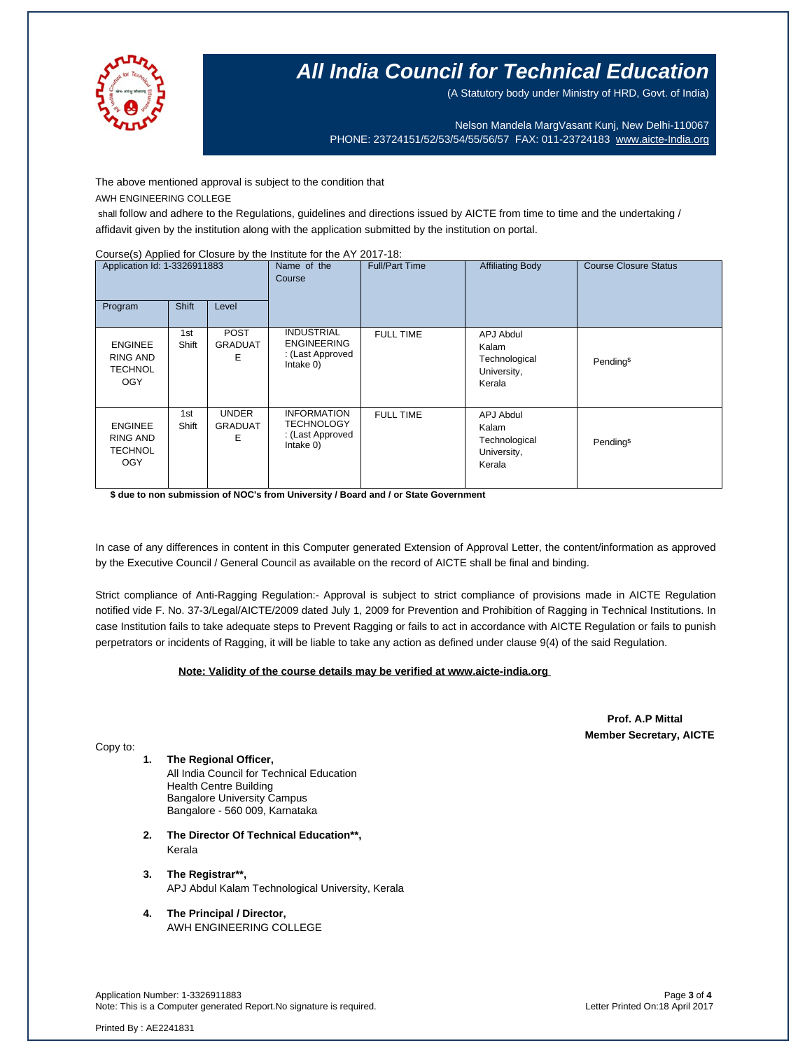

(A Statutory body under Ministry of HRD, Govt. of India)

Nelson Mandela MargVasant Kunj, New Delhi-110067 PHONE: 23724151/52/53/54/55/56/57 FAX: 011-23724183 [www.aicte-India.org](http://www.aicte-india.org/)

The above mentioned approval is subject to the condition that

AWH ENGINEERING COLLEGE

shall follow and adhere to the Regulations, guidelines and directions issued by AICTE from time to time and the undertaking / affidavit given by the institution along with the application submitted by the institution on portal.

#### Course(s) Applied for Closure by the Institute for the AY 2017-18:

| Application Id: 1-3326911883<br>Shift<br>Program<br>Level  |              | Name of the<br>Course               | <b>Full/Part Time</b>                                                    | <b>Affiliating Body</b> | <b>Course Closure Status</b>                                        |                       |
|------------------------------------------------------------|--------------|-------------------------------------|--------------------------------------------------------------------------|-------------------------|---------------------------------------------------------------------|-----------------------|
| <b>ENGINEE</b><br>RING AND<br><b>TECHNOL</b><br><b>OGY</b> | 1st<br>Shift | <b>POST</b><br><b>GRADUAT</b><br>Ε  | <b>INDUSTRIAL</b><br><b>ENGINEERING</b><br>: (Last Approved<br>Intake 0) | <b>FULL TIME</b>        | <b>APJ Abdul</b><br>Kalam<br>Technological<br>University,<br>Kerala | Pending <sup>\$</sup> |
| <b>ENGINEE</b><br>RING AND<br><b>TECHNOL</b><br><b>OGY</b> | 1st<br>Shift | <b>UNDER</b><br><b>GRADUAT</b><br>Е | <b>INFORMATION</b><br>TECHNOLOGY<br>: (Last Approved<br>Intake 0)        | <b>FULL TIME</b>        | <b>APJ Abdul</b><br>Kalam<br>Technological<br>University,<br>Kerala | Pending <sup>\$</sup> |

**\$ due to non submission of NOC's from University / Board and / or State Government**

In case of any differences in content in this Computer generated Extension of Approval Letter, the content/information as approved by the Executive Council / General Council as available on the record of AICTE shall be final and binding.

Strict compliance of Anti-Ragging Regulation:- Approval is subject to strict compliance of provisions made in AICTE Regulation notified vide F. No. 37-3/Legal/AICTE/2009 dated July 1, 2009 for Prevention and Prohibition of Ragging in Technical Institutions. In case Institution fails to take adequate steps to Prevent Ragging or fails to act in accordance with AICTE Regulation or fails to punish perpetrators or incidents of Ragging, it will be liable to take any action as defined under clause 9(4) of the said Regulation.

### **Note: Validity of the course details may be verified at www.aicte-india.org**

 **Prof. A.P Mittal Member Secretary, AICTE**

Copy to:

**1. The Regional Officer,** All India Council for Technical Education

Health Centre Building Bangalore University Campus Bangalore - 560 009, Karnataka

- **2. The Director Of Technical Education\*\*,** Kerala
- **3. The Registrar\*\*,** APJ Abdul Kalam Technological University, Kerala
- **4. The Principal / Director,** AWH ENGINEERING COLLEGE